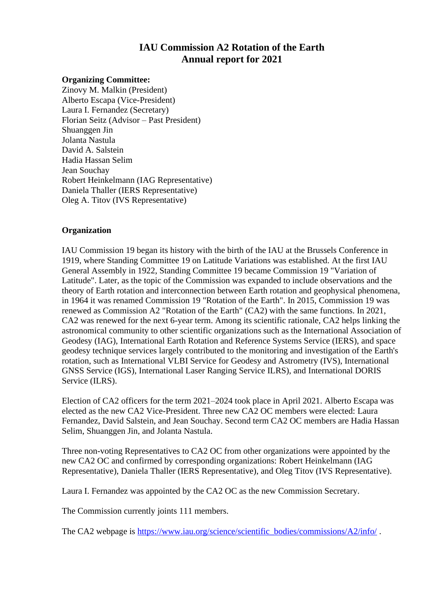# **IAU Commission A2 Rotation of the Earth Annual report for 2021**

### **Organizing Committee:**

Zinovy M. Malkin (President) Alberto Escapa (Vice-President) Laura I. Fernandez (Secretary) Florian Seitz (Advisor – Past President) Shuanggen Jin Jolanta Nastula David A. Salstein Hadia Hassan Selim Jean Souchay Robert Heinkelmann (IAG Representative) Daniela Thaller (IERS Representative) Oleg A. Titov (IVS Representative)

### **Organization**

IAU Commission 19 began its history with the birth of the IAU at the Brussels Conference in 1919, where Standing Committee 19 on Latitude Variations was established. At the first IAU General Assembly in 1922, Standing Committee 19 became Commission 19 "Variation of Latitude". Later, as the topic of the Commission was expanded to include observations and the theory of Earth rotation and interconnection between Earth rotation and geophysical phenomena, in 1964 it was renamed Commission 19 "Rotation of the Earth". In 2015, Commission 19 was renewed as Commission A2 "Rotation of the Earth" (CA2) with the same functions. In 2021, CA2 was renewed for the next 6-year term. Among its scientific rationale, CA2 helps linking the astronomical community to other scientific organizations such as the International Association of Geodesy (IAG), International Earth Rotation and Reference Systems Service (IERS), and space geodesy technique services largely contributed to the monitoring and investigation of the Earth's rotation, such as International VLBI Service for Geodesy and Astrometry (IVS), International GNSS Service (IGS), International Laser Ranging Service ILRS), and International DORIS Service (ILRS).

Election of CA2 officers for the term 2021–2024 took place in April 2021. Alberto Escapa was elected as the new CA2 Vice-President. Three new CA2 OC members were elected: Laura Fernandez, David Salstein, and Jean Souchay. Second term CA2 OC members are Hadia Hassan Selim, Shuanggen Jin, and Jolanta Nastula.

Three non-voting Representatives to CA2 OC from other organizations were appointed by the new CA2 OC and confirmed by corresponding organizations: Robert Heinkelmann (IAG Representative), Daniela Thaller (IERS Representative), and Oleg Titov (IVS Representative).

Laura I. Fernandez was appointed by the CA2 OC as the new Commission Secretary.

The Commission currently joints 111 members.

The CA2 webpage is [https://www.iau.org/science/scientific\\_bodies/commissions/A2/info/](https://www.iau.org/science/scientific_bodies/commissions/A2/info/).